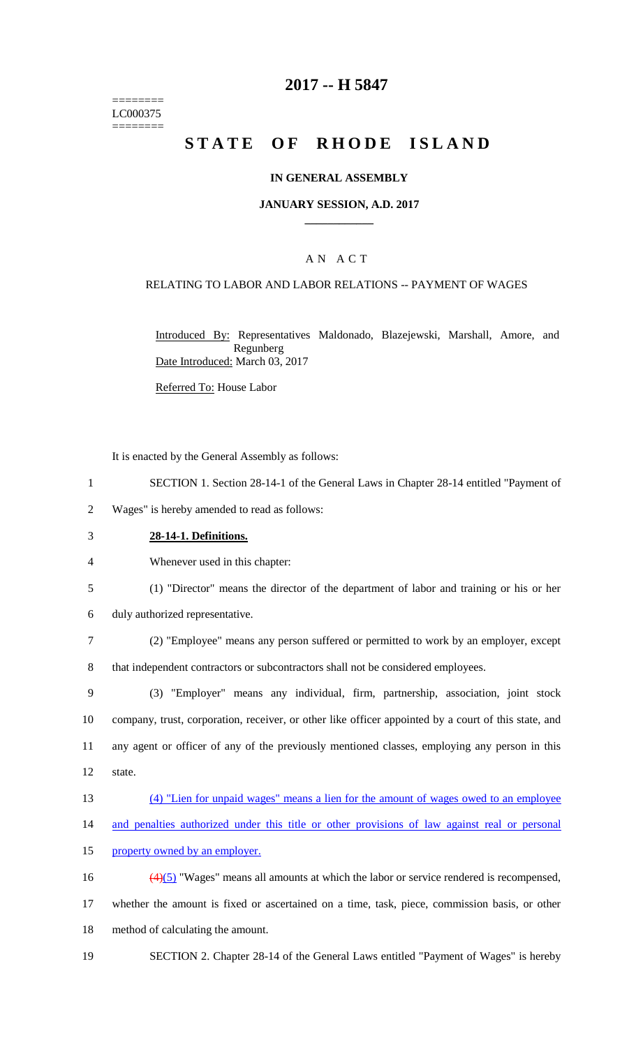======== LC000375 ========

# **2017 -- H 5847**

# **STATE OF RHODE ISLAND**

### **IN GENERAL ASSEMBLY**

### **JANUARY SESSION, A.D. 2017 \_\_\_\_\_\_\_\_\_\_\_\_**

### A N A C T

### RELATING TO LABOR AND LABOR RELATIONS -- PAYMENT OF WAGES

Introduced By: Representatives Maldonado, Blazejewski, Marshall, Amore, and Regunberg Date Introduced: March 03, 2017

Referred To: House Labor

It is enacted by the General Assembly as follows:

1 SECTION 1. Section 28-14-1 of the General Laws in Chapter 28-14 entitled "Payment of

2 Wages" is hereby amended to read as follows:

#### 3 **28-14-1. Definitions.**

4 Whenever used in this chapter:

- 5 (1) "Director" means the director of the department of labor and training or his or her
- 6 duly authorized representative.

7 (2) "Employee" means any person suffered or permitted to work by an employer, except 8 that independent contractors or subcontractors shall not be considered employees.

 (3) "Employer" means any individual, firm, partnership, association, joint stock company, trust, corporation, receiver, or other like officer appointed by a court of this state, and any agent or officer of any of the previously mentioned classes, employing any person in this 12 state.

- 13 (4) "Lien for unpaid wages" means a lien for the amount of wages owed to an employee
- 14 and penalties authorized under this title or other provisions of law against real or personal
- 15 property owned by an employer.

16 (4)(5) "Wages" means all amounts at which the labor or service rendered is recompensed, 17 whether the amount is fixed or ascertained on a time, task, piece, commission basis, or other 18 method of calculating the amount.

19 SECTION 2. Chapter 28-14 of the General Laws entitled "Payment of Wages" is hereby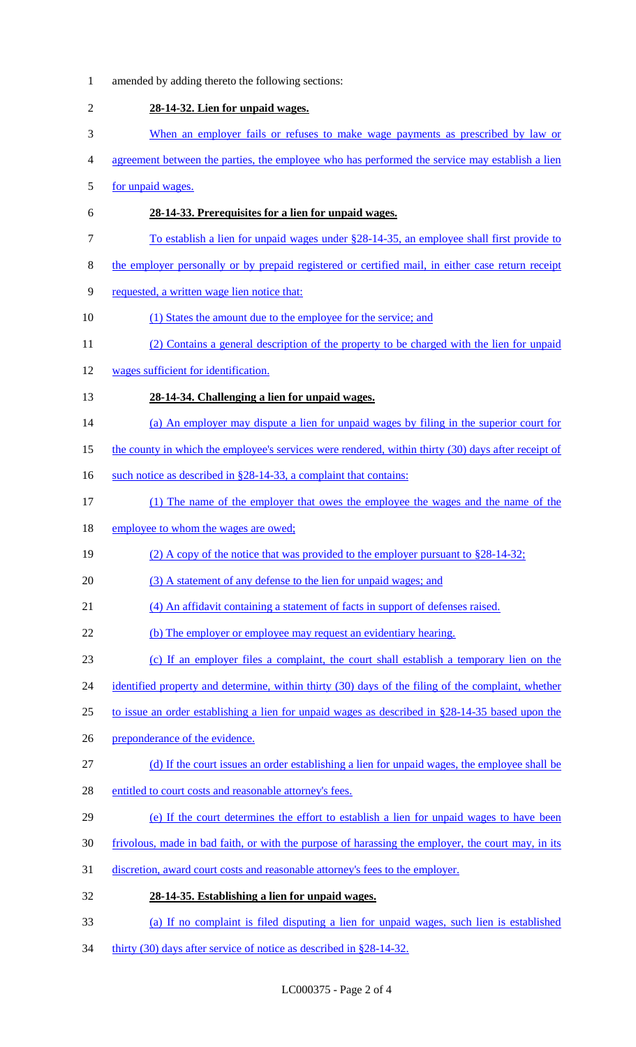amended by adding thereto the following sections: **28-14-32. Lien for unpaid wages.** When an employer fails or refuses to make wage payments as prescribed by law or 4 agreement between the parties, the employee who has performed the service may establish a lien for unpaid wages. **28-14-33. Prerequisites for a lien for unpaid wages.** To establish a lien for unpaid wages under §28-14-35, an employee shall first provide to the employer personally or by prepaid registered or certified mail, in either case return receipt requested, a written wage lien notice that: 10 (1) States the amount due to the employee for the service; and (2) Contains a general description of the property to be charged with the lien for unpaid wages sufficient for identification. **28-14-34. Challenging a lien for unpaid wages.** 14 (a) An employer may dispute a lien for unpaid wages by filing in the superior court for 15 the county in which the employee's services were rendered, within thirty (30) days after receipt of 16 such notice as described in §28-14-33, a complaint that contains: (1) The name of the employer that owes the employee the wages and the name of the 18 employee to whom the wages are owed; (2) A copy of the notice that was provided to the employer pursuant to §28-14-32; 20 (3) A statement of any defense to the lien for unpaid wages; and (4) An affidavit containing a statement of facts in support of defenses raised. 22 (b) The employer or employee may request an evidentiary hearing. (c) If an employer files a complaint, the court shall establish a temporary lien on the 24 identified property and determine, within thirty (30) days of the filing of the complaint, whether to issue an order establishing a lien for unpaid wages as described in §28-14-35 based upon the preponderance of the evidence. (d) If the court issues an order establishing a lien for unpaid wages, the employee shall be 28 entitled to court costs and reasonable attorney's fees. (e) If the court determines the effort to establish a lien for unpaid wages to have been frivolous, made in bad faith, or with the purpose of harassing the employer, the court may, in its discretion, award court costs and reasonable attorney's fees to the employer. **28-14-35. Establishing a lien for unpaid wages.** (a) If no complaint is filed disputing a lien for unpaid wages, such lien is established 34 thirty (30) days after service of notice as described in §28-14-32.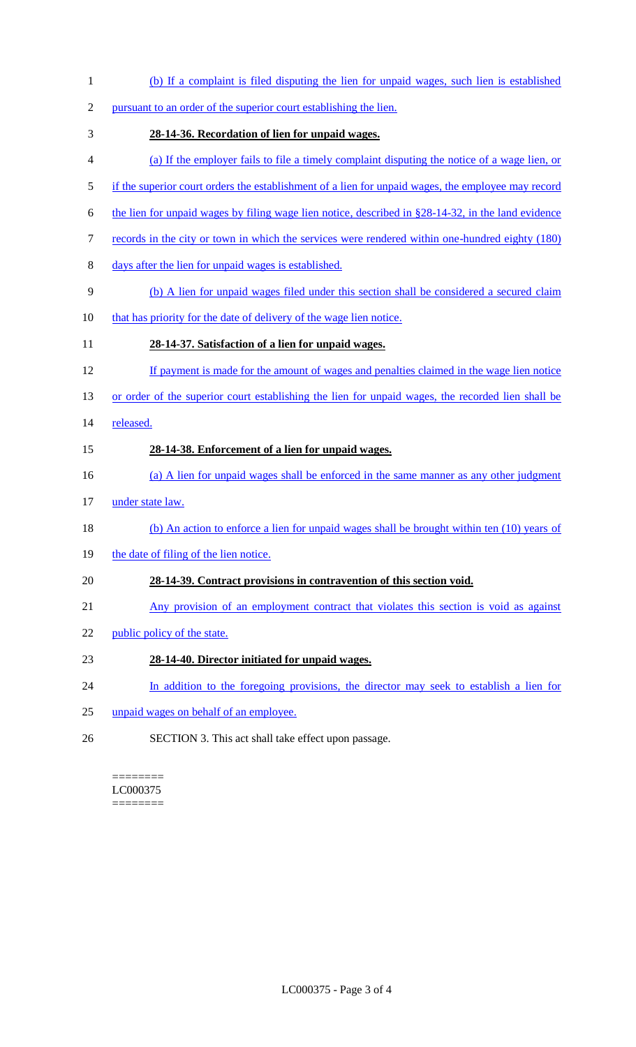- (b) If a complaint is filed disputing the lien for unpaid wages, such lien is established pursuant to an order of the superior court establishing the lien. **28-14-36. Recordation of lien for unpaid wages.** (a) If the employer fails to file a timely complaint disputing the notice of a wage lien, or 5 if the superior court orders the establishment of a lien for unpaid wages, the employee may record 6 the lien for unpaid wages by filing wage lien notice, described in  $§28-14-32$ , in the land evidence 7 records in the city or town in which the services were rendered within one-hundred eighty (180) days after the lien for unpaid wages is established. (b) A lien for unpaid wages filed under this section shall be considered a secured claim that has priority for the date of delivery of the wage lien notice. **28-14-37. Satisfaction of a lien for unpaid wages.** If payment is made for the amount of wages and penalties claimed in the wage lien notice 13 or order of the superior court establishing the lien for unpaid wages, the recorded lien shall be released. **28-14-38. Enforcement of a lien for unpaid wages.** (a) A lien for unpaid wages shall be enforced in the same manner as any other judgment under state law. (b) An action to enforce a lien for unpaid wages shall be brought within ten (10) years of 19 the date of filing of the lien notice. **28-14-39. Contract provisions in contravention of this section void.** Any provision of an employment contract that violates this section is void as against 22 public policy of the state. **28-14-40. Director initiated for unpaid wages.**
- 24 In addition to the foregoing provisions, the director may seek to establish a lien for
- unpaid wages on behalf of an employee.
- SECTION 3. This act shall take effect upon passage.

======== LC000375 ========